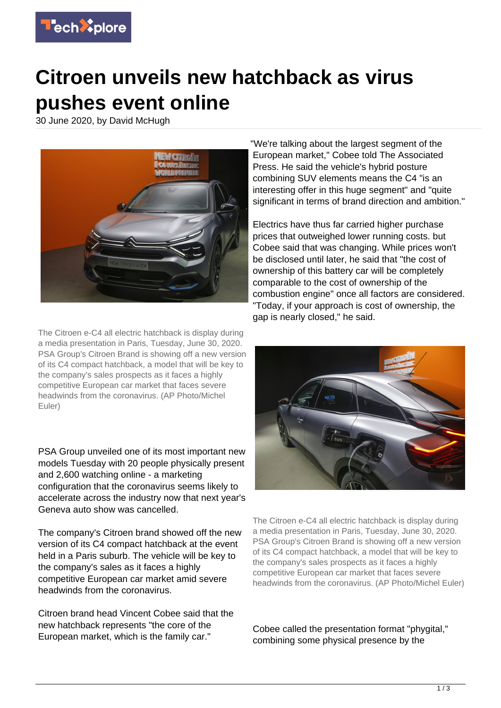

## **Citroen unveils new hatchback as virus pushes event online**

30 June 2020, by David McHugh



The Citroen e-C4 all electric hatchback is display during a media presentation in Paris, Tuesday, June 30, 2020. PSA Group's Citroen Brand is showing off a new version of its C4 compact hatchback, a model that will be key to the company's sales prospects as it faces a highly competitive European car market that faces severe headwinds from the coronavirus. (AP Photo/Michel Euler)

PSA Group unveiled one of its most important new models Tuesday with 20 people physically present and 2,600 watching online - a marketing configuration that the coronavirus seems likely to accelerate across the industry now that next year's Geneva auto show was cancelled.

The company's Citroen brand showed off the new version of its C4 compact hatchback at the event held in a Paris suburb. The vehicle will be key to the company's sales as it faces a highly competitive European car market amid severe headwinds from the coronavirus.

Citroen brand head Vincent Cobee said that the new hatchback represents "the core of the European market, which is the family car."

"We're talking about the largest segment of the European market," Cobee told The Associated Press. He said the vehicle's hybrid posture combining SUV elements means the C4 "is an interesting offer in this huge segment" and "quite significant in terms of brand direction and ambition."

Electrics have thus far carried higher purchase prices that outweighed lower running costs. but Cobee said that was changing. While prices won't be disclosed until later, he said that "the cost of ownership of this battery car will be completely comparable to the cost of ownership of the combustion engine" once all factors are considered. "Today, if your approach is cost of ownership, the gap is nearly closed," he said.



The Citroen e-C4 all electric hatchback is display during a media presentation in Paris, Tuesday, June 30, 2020. PSA Group's Citroen Brand is showing off a new version of its C4 compact hatchback, a model that will be key to the company's sales prospects as it faces a highly competitive European car market that faces severe headwinds from the coronavirus. (AP Photo/Michel Euler)

Cobee called the presentation format "phygital," combining some physical presence by the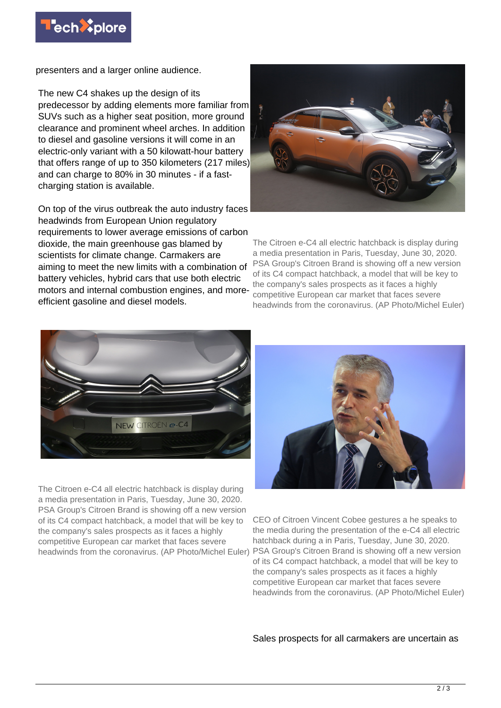

presenters and a larger online audience.

The new C4 shakes up the design of its predecessor by adding elements more familiar from SUVs such as a higher seat position, more ground clearance and prominent wheel arches. In addition to diesel and gasoline versions it will come in an electric-only variant with a 50 kilowatt-hour battery that offers range of up to 350 kilometers (217 miles) and can charge to 80% in 30 minutes - if a fastcharging station is available.

On top of the virus outbreak the auto industry faces headwinds from European Union regulatory requirements to lower average emissions of carbon dioxide, the main greenhouse gas blamed by scientists for climate change. Carmakers are aiming to meet the new limits with a combination of battery vehicles, hybrid cars that use both electric motors and internal combustion engines, and moreefficient gasoline and diesel models.



The Citroen e-C4 all electric hatchback is display during a media presentation in Paris, Tuesday, June 30, 2020. PSA Group's Citroen Brand is showing off a new version of its C4 compact hatchback, a model that will be key to the company's sales prospects as it faces a highly competitive European car market that faces severe headwinds from the coronavirus. (AP Photo/Michel Euler)



The Citroen e-C4 all electric hatchback is display during a media presentation in Paris, Tuesday, June 30, 2020. PSA Group's Citroen Brand is showing off a new version of its C4 compact hatchback, a model that will be key to the company's sales prospects as it faces a highly competitive European car market that faces severe headwinds from the coronavirus. (AP Photo/Michel Euler) PSA Group's Citroen Brand is showing off a new version



CEO of Citroen Vincent Cobee gestures a he speaks to the media during the presentation of the e-C4 all electric hatchback during a in Paris, Tuesday, June 30, 2020. of its C4 compact hatchback, a model that will be key to the company's sales prospects as it faces a highly competitive European car market that faces severe headwinds from the coronavirus. (AP Photo/Michel Euler)

Sales prospects for all carmakers are uncertain as